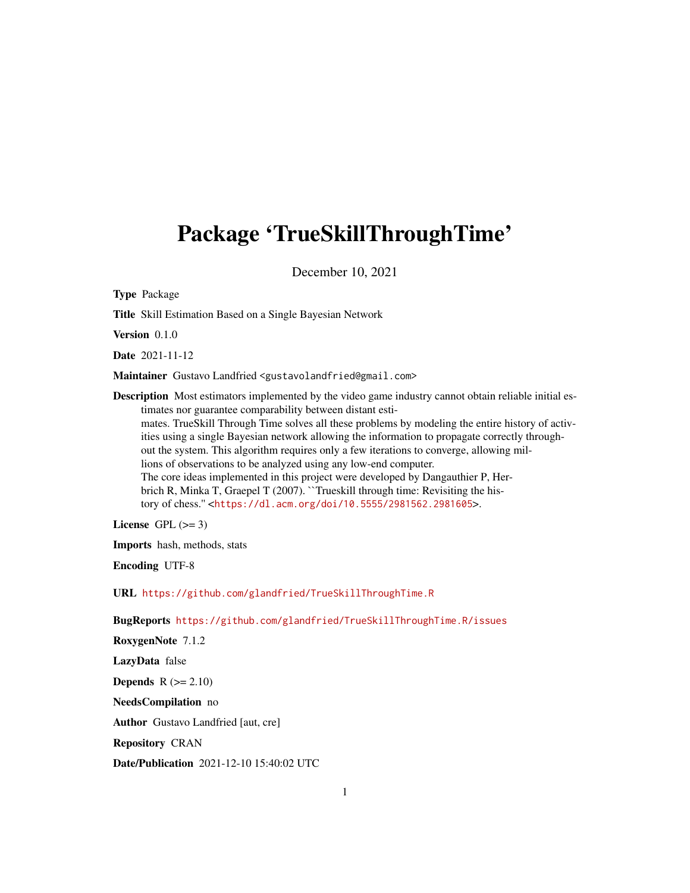# Package 'TrueSkillThroughTime'

December 10, 2021

Type Package

Title Skill Estimation Based on a Single Bayesian Network

Version 0.1.0

Date 2021-11-12

Maintainer Gustavo Landfried <gustavolandfried@gmail.com>

Description Most estimators implemented by the video game industry cannot obtain reliable initial estimates nor guarantee comparability between distant estimates. TrueSkill Through Time solves all these problems by modeling the entire history of activities using a single Bayesian network allowing the information to propagate correctly throughout the system. This algorithm requires only a few iterations to converge, allowing millions of observations to be analyzed using any low-end computer. The core ideas implemented in this project were developed by Dangauthier P, Herbrich R, Minka T, Graepel T (2007). "Trueskill through time: Revisiting the history of chess.'' <<https://dl.acm.org/doi/10.5555/2981562.2981605>>.

License GPL  $(>= 3)$ 

Imports hash, methods, stats

Encoding UTF-8

URL <https://github.com/glandfried/TrueSkillThroughTime.R>

BugReports <https://github.com/glandfried/TrueSkillThroughTime.R/issues>

RoxygenNote 7.1.2 LazyData false

Depends  $R (= 2.10)$ 

NeedsCompilation no

Author Gustavo Landfried [aut, cre]

Repository CRAN

Date/Publication 2021-12-10 15:40:02 UTC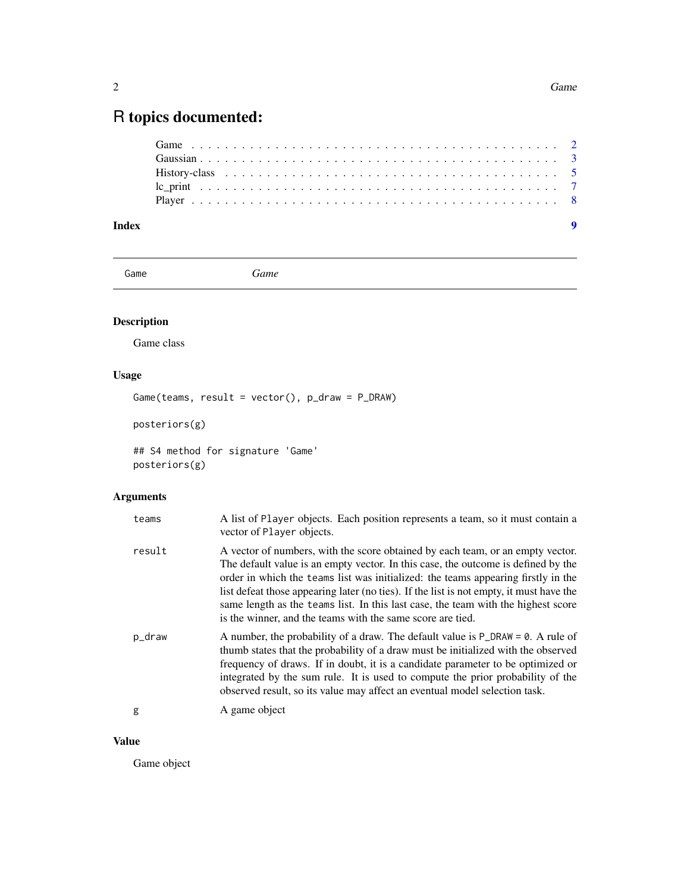# <span id="page-1-0"></span>R topics documented:

# **Index** [9](#page-8-0)

Game **Game** *Game* 

# Description

Game class

# Usage

Game(teams, result = vector(), p\_draw = P\_DRAW)

posteriors(g)

## S4 method for signature 'Game' posteriors(g)

# Arguments

| teams  | A list of Player objects. Each position represents a team, so it must contain a<br>vector of Player objects.                                                                                                                                                                                                                                                                                                                                                                                           |
|--------|--------------------------------------------------------------------------------------------------------------------------------------------------------------------------------------------------------------------------------------------------------------------------------------------------------------------------------------------------------------------------------------------------------------------------------------------------------------------------------------------------------|
| result | A vector of numbers, with the score obtained by each team, or an empty vector.<br>The default value is an empty vector. In this case, the outcome is defined by the<br>order in which the teams list was initialized: the teams appearing firstly in the<br>list defeat those appearing later (no ties). If the list is not empty, it must have the<br>same length as the teams list. In this last case, the team with the highest score<br>is the winner, and the teams with the same score are tied. |
| p_draw | A number, the probability of a draw. The default value is P_DRAW = 0. A rule of<br>thumb states that the probability of a draw must be initialized with the observed<br>frequency of draws. If in doubt, it is a candidate parameter to be optimized or<br>integrated by the sum rule. It is used to compute the prior probability of the<br>observed result, so its value may affect an eventual model selection task.                                                                                |
| g      | A game object                                                                                                                                                                                                                                                                                                                                                                                                                                                                                          |

# Value

Game object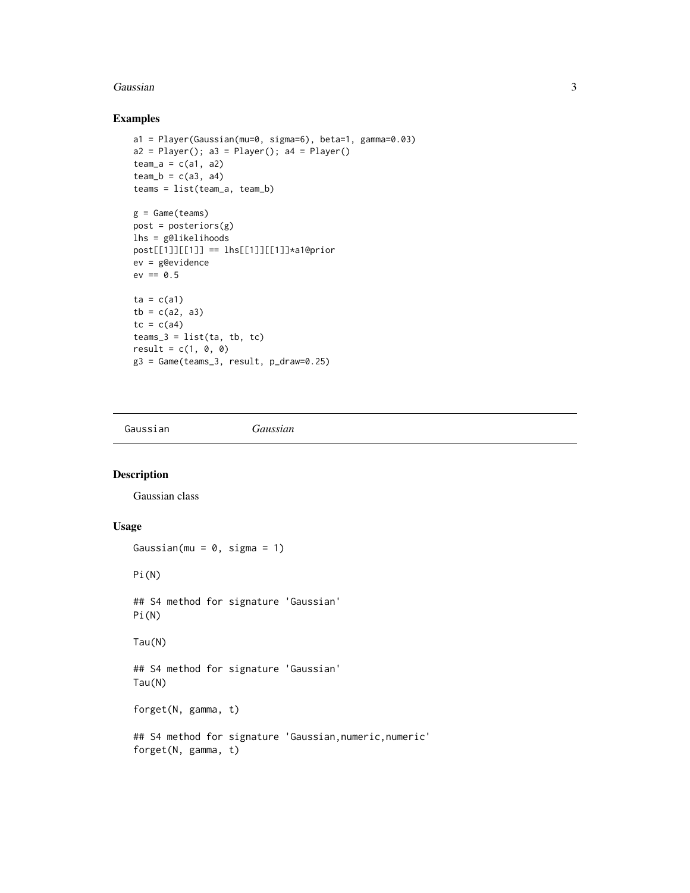#### <span id="page-2-0"></span>Gaussian 3

# Examples

```
a1 = Player(Gaussian(mu=0, sigma=6), beta=1, gamma=0.03)
a2 = Player(); a3 = Player(); a4 = Player()team_a = c(a1, a2)team_b = c(a3, a4)teams = list(team_a, team_b)
g =Game(teams)
post = postlhs = g@likelihoods
post[[1]][[1]] == lhs[[1]][[1]]*a1@prior
ev = g@evidence
ev == 0.5ta = c(a1)tb = c(a2, a3)tc = c(a4)teams_3 = list(ta, tb, tc)
result = c(1, 0, 0)g3 = Game(teams_3, result, p_draw=0.25)
```
Gaussian *Gaussian*

# Description

Gaussian class

# Usage

```
Gaussian(mu = 0, sigma = 1)
Pi(N)
## S4 method for signature 'Gaussian'
Pi(N)
Tau(N)
## S4 method for signature 'Gaussian'
Tau(N)
forget(N, gamma, t)
## S4 method for signature 'Gaussian, numeric, numeric'
forget(N, gamma, t)
```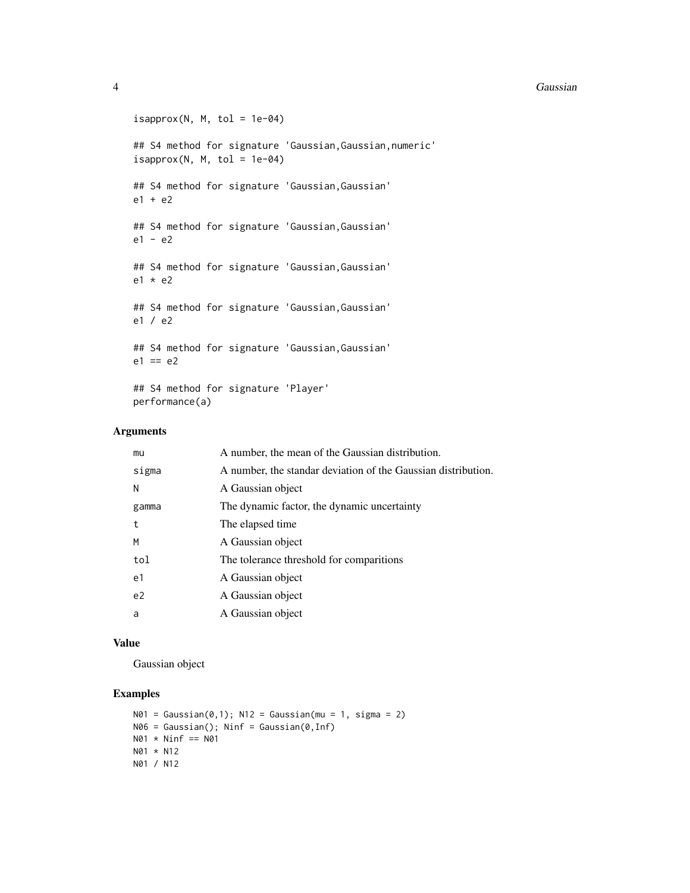#### 4 Gaussian and the contract of the contract of the contract of the contract of the Gaussian contract of the contract of the contract of the contract of the contract of the contract of the contract of the contract of the co

```
isapprox(N, M, tol = 1e-04)## S4 method for signature 'Gaussian,Gaussian,numeric'
isapprox(N, M, tol = 1e-04)## S4 method for signature 'Gaussian,Gaussian'
e1 + e2
## S4 method for signature 'Gaussian,Gaussian'
e1 - e2
## S4 method for signature 'Gaussian,Gaussian'
e1 * e2
## S4 method for signature 'Gaussian,Gaussian'
e1 / e2
## S4 method for signature 'Gaussian,Gaussian'
e1 == e2## S4 method for signature 'Player'
performance(a)
```
#### Arguments

| mu             | A number, the mean of the Gaussian distribution.              |
|----------------|---------------------------------------------------------------|
| sigma          | A number, the standar deviation of the Gaussian distribution. |
| N              | A Gaussian object                                             |
| gamma          | The dynamic factor, the dynamic uncertainty                   |
| t              | The elapsed time                                              |
| M              | A Gaussian object                                             |
| tol            | The tolerance threshold for comparitions                      |
| e1             | A Gaussian object                                             |
| e <sub>2</sub> | A Gaussian object                                             |
| a              | A Gaussian object                                             |
|                |                                                               |

#### Value

Gaussian object

# Examples

```
N01 = Gaussian(0,1); N12 = Gaussian(mu = 1, sigma = 2)N06 = Gaussian(); Ninf = Gaussian(0,Inf)
N@1 * Ninf == N@1N01 * N12
N01 / N12
```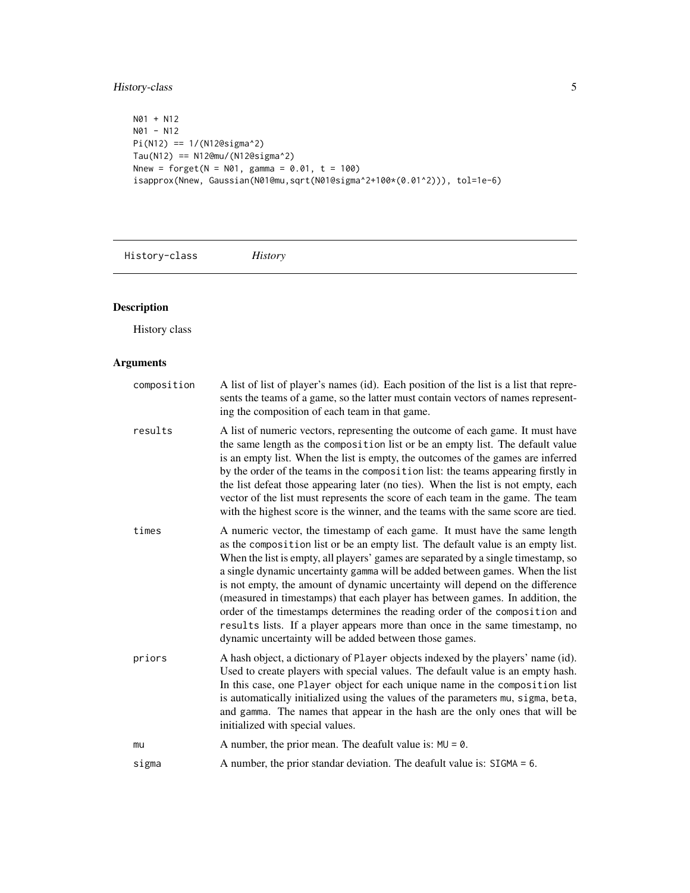# <span id="page-4-0"></span>History-class 5

```
N01 + N12
N01 - N12
Pi(N12) == 1/(N12@sigma^2)
Tau(N12) == N12@mu/(N12@sigma^2)
Nnew = forget(N = N01, gamma = 0.01, t = 100)isapprox(Nnew, Gaussian(N01@mu,sqrt(N01@sigma^2+100*(0.01^2))), tol=1e-6)
```
History-class *History*

# Description

History class

# Arguments

| composition | A list of list of player's names (id). Each position of the list is a list that repre-<br>sents the teams of a game, so the latter must contain vectors of names represent-<br>ing the composition of each team in that game.                                                                                                                                                                                                                                                                                                                                                                                                                                                                                                   |
|-------------|---------------------------------------------------------------------------------------------------------------------------------------------------------------------------------------------------------------------------------------------------------------------------------------------------------------------------------------------------------------------------------------------------------------------------------------------------------------------------------------------------------------------------------------------------------------------------------------------------------------------------------------------------------------------------------------------------------------------------------|
| results     | A list of numeric vectors, representing the outcome of each game. It must have<br>the same length as the composition list or be an empty list. The default value<br>is an empty list. When the list is empty, the outcomes of the games are inferred<br>by the order of the teams in the composition list: the teams appearing firstly in<br>the list defeat those appearing later (no ties). When the list is not empty, each<br>vector of the list must represents the score of each team in the game. The team<br>with the highest score is the winner, and the teams with the same score are tied.                                                                                                                          |
| times       | A numeric vector, the timestamp of each game. It must have the same length<br>as the composition list or be an empty list. The default value is an empty list.<br>When the list is empty, all players' games are separated by a single timestamp, so<br>a single dynamic uncertainty gamma will be added between games. When the list<br>is not empty, the amount of dynamic uncertainty will depend on the difference<br>(measured in timestamps) that each player has between games. In addition, the<br>order of the timestamps determines the reading order of the composition and<br>results lists. If a player appears more than once in the same timestamp, no<br>dynamic uncertainty will be added between those games. |
| priors      | A hash object, a dictionary of Player objects indexed by the players' name (id).<br>Used to create players with special values. The default value is an empty hash.<br>In this case, one Player object for each unique name in the composition list<br>is automatically initialized using the values of the parameters mu, sigma, beta,<br>and gamma. The names that appear in the hash are the only ones that will be<br>initialized with special values.                                                                                                                                                                                                                                                                      |
| mu          | A number, the prior mean. The deafult value is: $MU = 0$ .                                                                                                                                                                                                                                                                                                                                                                                                                                                                                                                                                                                                                                                                      |
| sigma       | A number, the prior standar deviation. The deafult value is: $SIGMA = 6$ .                                                                                                                                                                                                                                                                                                                                                                                                                                                                                                                                                                                                                                                      |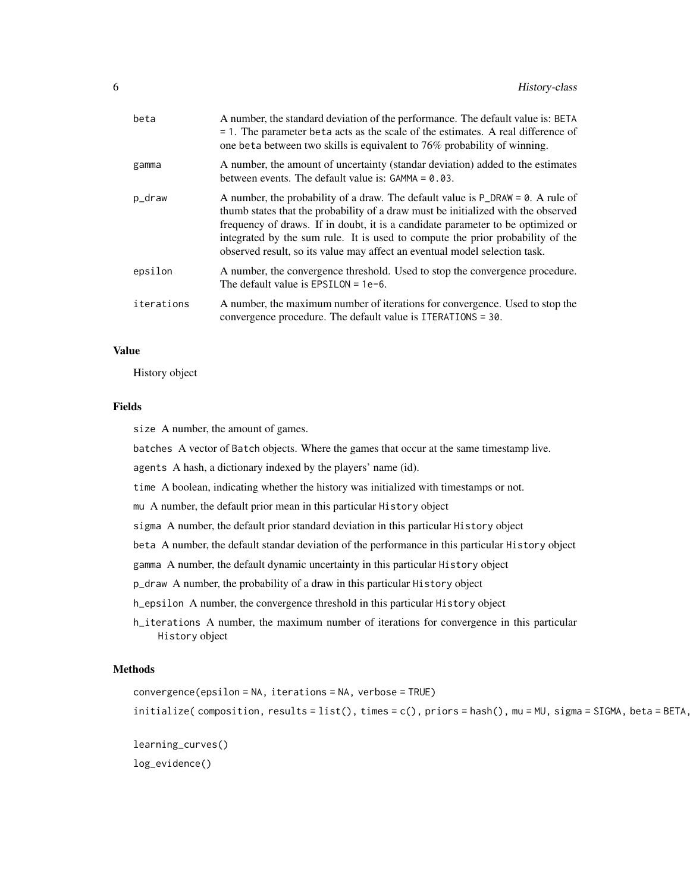| beta       | A number, the standard deviation of the performance. The default value is: BETA<br>$= 1$ . The parameter beta acts as the scale of the estimates. A real difference of<br>one beta between two skills is equivalent to 76% probability of winning.                                                                                                                                                                          |
|------------|-----------------------------------------------------------------------------------------------------------------------------------------------------------------------------------------------------------------------------------------------------------------------------------------------------------------------------------------------------------------------------------------------------------------------------|
| gamma      | A number, the amount of uncertainty (standar deviation) added to the estimates<br>between events. The default value is: $GAMMA = 0.03$ .                                                                                                                                                                                                                                                                                    |
| p_draw     | A number, the probability of a draw. The default value is $P\_DRAW = 0$ . A rule of<br>thumb states that the probability of a draw must be initialized with the observed<br>frequency of draws. If in doubt, it is a candidate parameter to be optimized or<br>integrated by the sum rule. It is used to compute the prior probability of the<br>observed result, so its value may affect an eventual model selection task. |
| epsilon    | A number, the convergence threshold. Used to stop the convergence procedure.<br>The default value is $EPSILON = 1e-6$ .                                                                                                                                                                                                                                                                                                     |
| iterations | A number, the maximum number of iterations for convergence. Used to stop the<br>convergence procedure. The default value is ITERATIONS = 30.                                                                                                                                                                                                                                                                                |

#### Value

History object

#### Fields

size A number, the amount of games.

batches A vector of Batch objects. Where the games that occur at the same timestamp live.

agents A hash, a dictionary indexed by the players' name (id).

time A boolean, indicating whether the history was initialized with timestamps or not.

mu A number, the default prior mean in this particular History object

sigma A number, the default prior standard deviation in this particular History object

beta A number, the default standar deviation of the performance in this particular History object

gamma A number, the default dynamic uncertainty in this particular History object

p\_draw A number, the probability of a draw in this particular History object

h\_epsilon A number, the convergence threshold in this particular History object

h\_iterations A number, the maximum number of iterations for convergence in this particular History object

#### Methods

```
convergence(epsilon = NA, iterations = NA, verbose = TRUE)
initialize( composition, results = list(), times = c(), priors = hash(), mu = MU, sigma = SIGMA, beta = BETA,
```
learning\_curves() log\_evidence()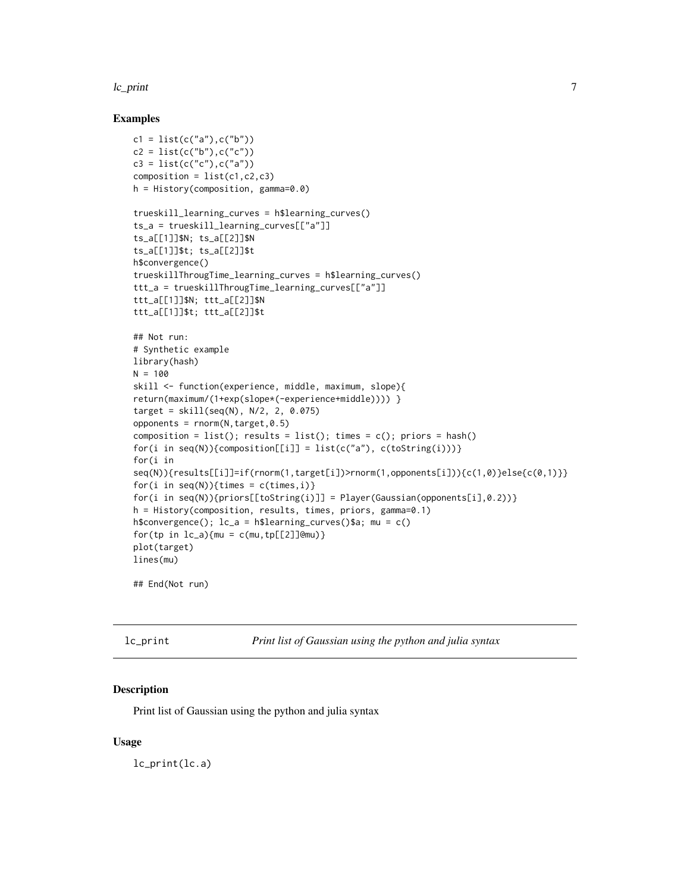#### <span id="page-6-0"></span>lc\_print 7

#### Examples

```
c1 = list(c("a"), c("b"))c2 = list(c("b"), c("c"))c3 = list(c("c"), c("a"))composition = list(c1, c2, c3)h = History(composition, gamma=0.0)
trueskill_learning_curves = h$learning_curves()
ts_a = trueskill_learning_curves[["a"]]
ts_a[[1]]$N; ts_a[[2]]$N
ts_a[[1]]$t; ts_a[[2]]$t
h$convergence()
trueskillThrougTime_learning_curves = h$learning_curves()
ttt_a = trueskillThrougTime_learning_curves[["a"]]
ttt_a[[1]]$N; ttt_a[[2]]$N
ttt_a[[1]]$t; ttt_a[[2]]$t
## Not run:
# Synthetic example
library(hash)
N = 100skill <- function(experience, middle, maximum, slope){
return(maximum/(1+exp(slope*(-experience+middle)))) }
target = skill(seq(N), N/2, 2, 0.075)
opponents = <math>rnorm(N, target, \emptyset.5)</math>composition = list(); results = list(); times = c(); priors = hash()
for(i in seq(N)){composition[[i]] = list(c("a"), c(toString(i)))}
for(i in
seq(N)){results[[i]]=if(rnorm(1,target[i])>rnorm(1,opponents[i])){c(1,0)}else{c(0,1)}}
for(i in seq(N)){times = c(times,i)}
for(i in seq(N)){priors[[toString(i)]] = Player(Gaussian(opponents[i],0.2))}
h = History(composition, results, times, priors, gamma=0.1)
h$convergence(); lc_a = h$learning_curves()$a; mu = c()
for(tp in lc_a){m = c(mu, tp[[2]]@mu)}plot(target)
lines(mu)
```
## End(Not run)

| lc_print |  |  |  |
|----------|--|--|--|
|          |  |  |  |
|          |  |  |  |
|          |  |  |  |
|          |  |  |  |

Print list of Gaussian using the python and julia syntax

#### Description

Print list of Gaussian using the python and julia syntax

#### Usage

lc\_print(lc.a)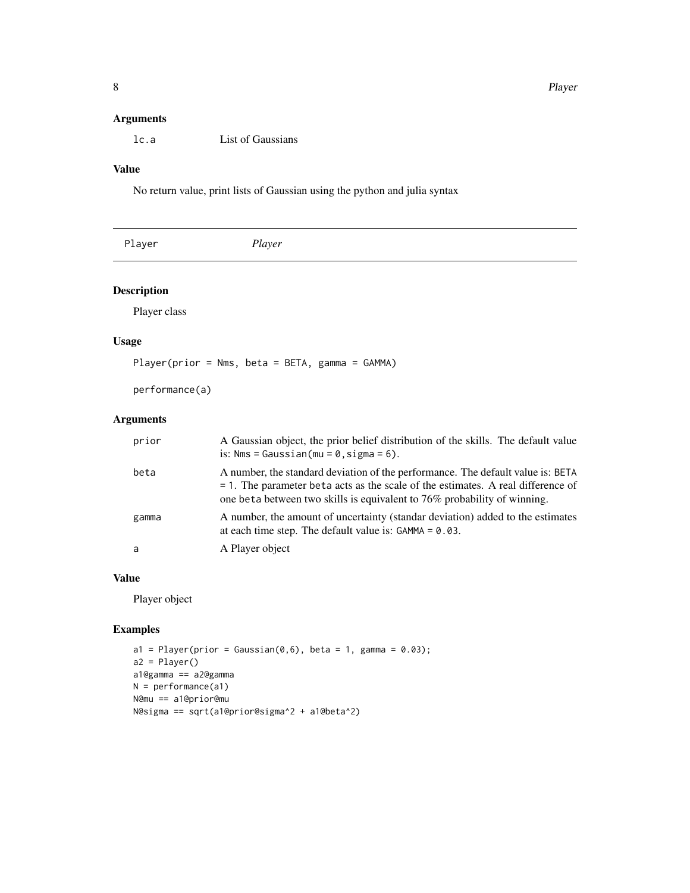# <span id="page-7-0"></span>Arguments

lc.a List of Gaussians

# Value

No return value, print lists of Gaussian using the python and julia syntax

| Player | Player |
|--------|--------|
|--------|--------|

# Description

Player class

# Usage

Player(prior = Nms, beta = BETA, gamma = GAMMA)

performance(a)

# Arguments

| prior | A Gaussian object, the prior belief distribution of the skills. The default value<br>is: $Nms = Gaussian(mu = 0, sigma = 6)$ .                                                                                                                     |
|-------|----------------------------------------------------------------------------------------------------------------------------------------------------------------------------------------------------------------------------------------------------|
| beta  | A number, the standard deviation of the performance. The default value is: BETA<br>$= 1$ . The parameter beta acts as the scale of the estimates. A real difference of<br>one beta between two skills is equivalent to 76% probability of winning. |
| gamma | A number, the amount of uncertainty (standar deviation) added to the estimates<br>at each time step. The default value is: $GAMMA = 0.03$ .                                                                                                        |
| a     | A Player object                                                                                                                                                                                                                                    |

# Value

Player object

# Examples

```
a1 = Player(prior = Gaussian(0,6), beta = 1, gamma = 0.03);a2 = Player()
a1@gamma == a2@gamma
N = performance(a1)N@mu == a1@prior@mu
N@sigma == sqrt(a1@prior@sigma^2 + a1@beta^2)
```